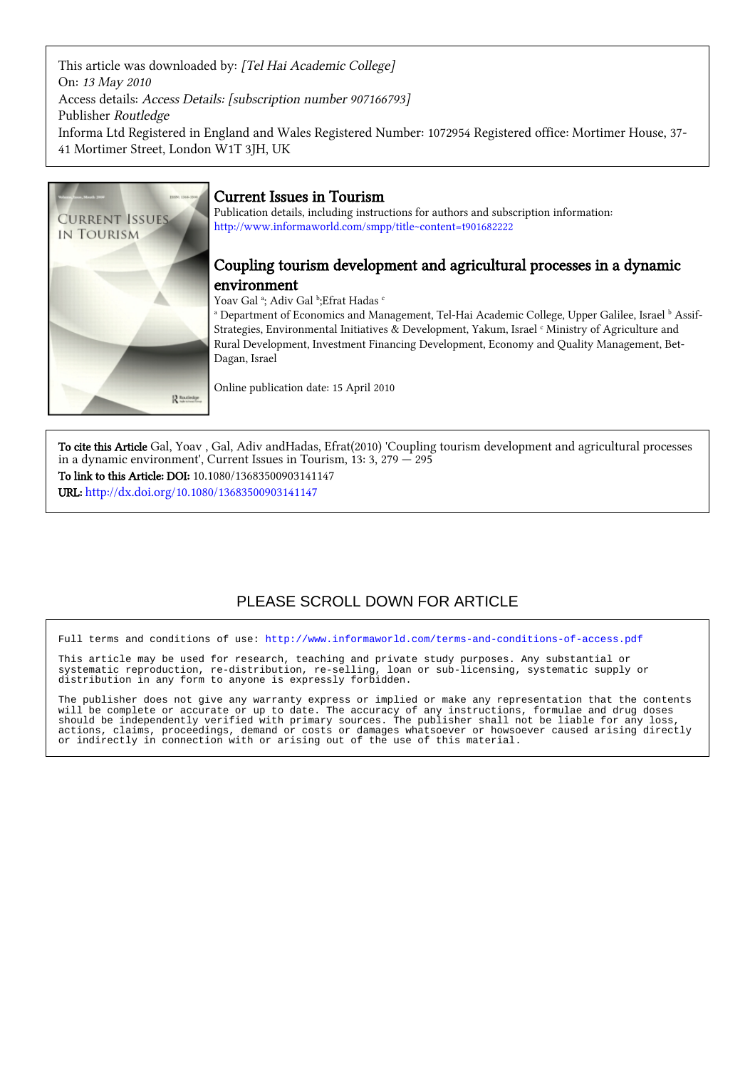This article was downloaded by: [Tel Hai Academic College] On: 13 May 2010 Access details: Access Details: [subscription number 907166793] Publisher Routledge Informa Ltd Registered in England and Wales Registered Number: 1072954 Registered office: Mortimer House, 37- 41 Mortimer Street, London W1T 3JH, UK



# Current Issues in Tourism

Publication details, including instructions for authors and subscription information: <http://www.informaworld.com/smpp/title~content=t901682222>

# Coupling tourism development and agricultural processes in a dynamic environment

Yoav Gal ª; Adiv Gal ʰ;Efrat Hadas <sup>c</sup>

<sup>a</sup> Department of Economics and Management, Tel-Hai Academic College, Upper Galilee, Israel <sup>b</sup> Assif-Strategies, Environmental Initiatives & Development, Yakum, Israel <sup>c</sup> Ministry of Agriculture and Rural Development, Investment Financing Development, Economy and Quality Management, Bet-Dagan, Israel

Online publication date: 15 April 2010

To cite this Article Gal, Yoav , Gal, Adiv andHadas, Efrat(2010) 'Coupling tourism development and agricultural processes in a dynamic environment', Current Issues in Tourism,  $13: 3, 279 - 295$ To link to this Article: DOI: 10.1080/13683500903141147

URL: <http://dx.doi.org/10.1080/13683500903141147>

# PLEASE SCROLL DOWN FOR ARTICLE

Full terms and conditions of use:<http://www.informaworld.com/terms-and-conditions-of-access.pdf>

This article may be used for research, teaching and private study purposes. Any substantial or systematic reproduction, re-distribution, re-selling, loan or sub-licensing, systematic supply or distribution in any form to anyone is expressly forbidden.

The publisher does not give any warranty express or implied or make any representation that the contents will be complete or accurate or up to date. The accuracy of any instructions, formulae and drug doses should be independently verified with primary sources. The publisher shall not be liable for any loss, actions, claims, proceedings, demand or costs or damages whatsoever or howsoever caused arising directly or indirectly in connection with or arising out of the use of this material.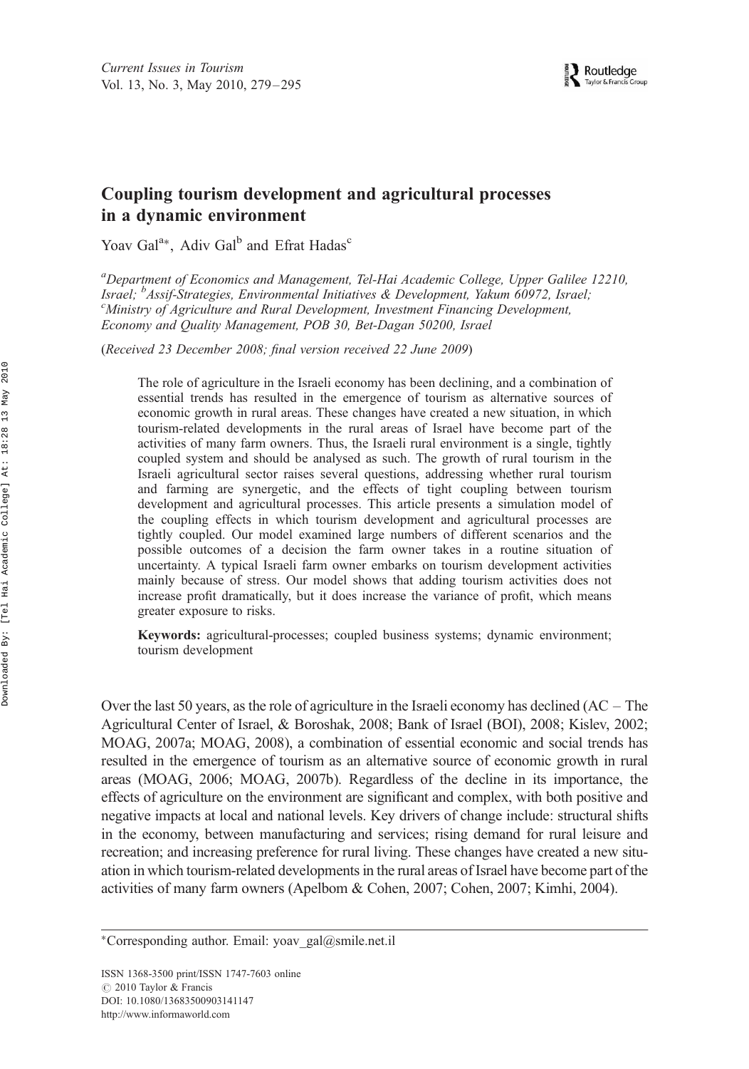# Coupling tourism development and agricultural processes in a dynamic environment

Yoav Gal<sup>a\*</sup>, Adiv Gal<sup>b</sup> and Efrat Hadas<sup>c</sup>

<sup>a</sup>Department of Economics and Management, Tel-Hai Academic College, Upper Galilee 12210, Israel; <sup>b</sup>Assif-Strategies, Environmental Initiatives & Development, Yakum 60972, Israel;<br><sup>C</sup>Ministry of Agriculture and Pural Development, Investment Eingneing Development Ministry of Agriculture and Rural Development, Investment Financing Development, Economy and Quality Management, POB 30, Bet-Dagan 50200, Israel

(Received 23 December 2008; final version received 22 June 2009)

The role of agriculture in the Israeli economy has been declining, and a combination of essential trends has resulted in the emergence of tourism as alternative sources of economic growth in rural areas. These changes have created a new situation, in which tourism-related developments in the rural areas of Israel have become part of the activities of many farm owners. Thus, the Israeli rural environment is a single, tightly coupled system and should be analysed as such. The growth of rural tourism in the Israeli agricultural sector raises several questions, addressing whether rural tourism and farming are synergetic, and the effects of tight coupling between tourism development and agricultural processes. This article presents a simulation model of the coupling effects in which tourism development and agricultural processes are tightly coupled. Our model examined large numbers of different scenarios and the possible outcomes of a decision the farm owner takes in a routine situation of uncertainty. A typical Israeli farm owner embarks on tourism development activities mainly because of stress. Our model shows that adding tourism activities does not increase profit dramatically, but it does increase the variance of profit, which means greater exposure to risks.

Keywords: agricultural-processes; coupled business systems; dynamic environment; tourism development

Over the last 50 years, as the role of agriculture in the Israeli economy has declined  $(AC - The$ Agricultural Center of Israel, & Boroshak, 2008; Bank of Israel (BOI), 2008; Kislev, 2002; MOAG, 2007a; MOAG, 2008), a combination of essential economic and social trends has resulted in the emergence of tourism as an alternative source of economic growth in rural areas (MOAG, 2006; MOAG, 2007b). Regardless of the decline in its importance, the effects of agriculture on the environment are significant and complex, with both positive and negative impacts at local and national levels. Key drivers of change include: structural shifts in the economy, between manufacturing and services; rising demand for rural leisure and recreation; and increasing preference for rural living. These changes have created a new situation in which tourism-related developments in the rural areas of Israel have become part of the activities of many farm owners (Apelbom & Cohen, 2007; Cohen, 2007; Kimhi, 2004).

ISSN 1368-3500 print/ISSN 1747-7603 online *#* 2010 Taylor & Francis DOI: 10.1080/13683500903141147 http://www.informaworld.com

<sup>\*</sup>Corresponding author. Email: yoav gal@smile.net.il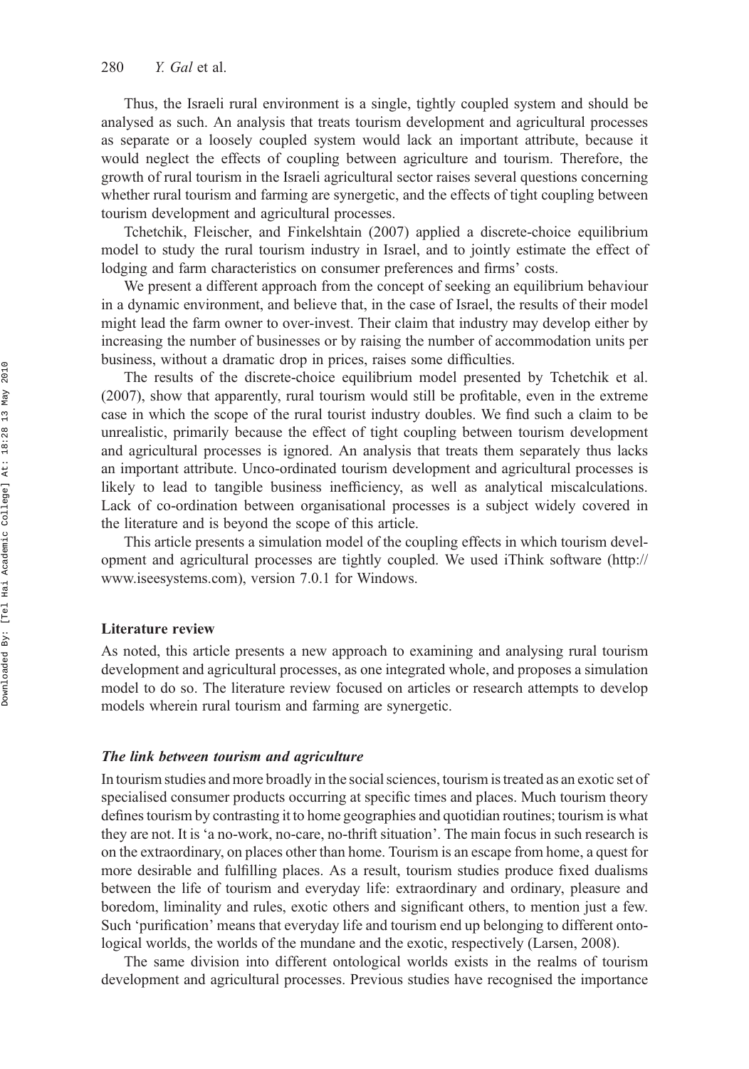Thus, the Israeli rural environment is a single, tightly coupled system and should be analysed as such. An analysis that treats tourism development and agricultural processes as separate or a loosely coupled system would lack an important attribute, because it would neglect the effects of coupling between agriculture and tourism. Therefore, the growth of rural tourism in the Israeli agricultural sector raises several questions concerning whether rural tourism and farming are synergetic, and the effects of tight coupling between tourism development and agricultural processes.

Tchetchik, Fleischer, and Finkelshtain (2007) applied a discrete-choice equilibrium model to study the rural tourism industry in Israel, and to jointly estimate the effect of lodging and farm characteristics on consumer preferences and firms' costs.

We present a different approach from the concept of seeking an equilibrium behaviour in a dynamic environment, and believe that, in the case of Israel, the results of their model might lead the farm owner to over-invest. Their claim that industry may develop either by increasing the number of businesses or by raising the number of accommodation units per business, without a dramatic drop in prices, raises some difficulties.

The results of the discrete-choice equilibrium model presented by Tchetchik et al. (2007), show that apparently, rural tourism would still be profitable, even in the extreme case in which the scope of the rural tourist industry doubles. We find such a claim to be unrealistic, primarily because the effect of tight coupling between tourism development and agricultural processes is ignored. An analysis that treats them separately thus lacks an important attribute. Unco-ordinated tourism development and agricultural processes is likely to lead to tangible business inefficiency, as well as analytical miscalculations. Lack of co-ordination between organisational processes is a subject widely covered in the literature and is beyond the scope of this article.

This article presents a simulation model of the coupling effects in which tourism development and agricultural processes are tightly coupled. We used iThink software [\(http://](http://www.iseesystems.com) [www.iseesystems.com](http://www.iseesystems.com)), version 7.0.1 for Windows.

## Literature review

As noted, this article presents a new approach to examining and analysing rural tourism development and agricultural processes, as one integrated whole, and proposes a simulation model to do so. The literature review focused on articles or research attempts to develop models wherein rural tourism and farming are synergetic.

# The link between tourism and agriculture

In tourism studies and more broadly in the social sciences, tourism is treated as an exotic set of specialised consumer products occurring at specific times and places. Much tourism theory defines tourism by contrasting it to home geographies and quotidian routines; tourism is what they are not. It is 'a no-work, no-care, no-thrift situation'. The main focus in such research is on the extraordinary, on places other than home. Tourism is an escape from home, a quest for more desirable and fulfilling places. As a result, tourism studies produce fixed dualisms between the life of tourism and everyday life: extraordinary and ordinary, pleasure and boredom, liminality and rules, exotic others and significant others, to mention just a few. Such 'purification' means that everyday life and tourism end up belonging to different ontological worlds, the worlds of the mundane and the exotic, respectively (Larsen, 2008).

The same division into different ontological worlds exists in the realms of tourism development and agricultural processes. Previous studies have recognised the importance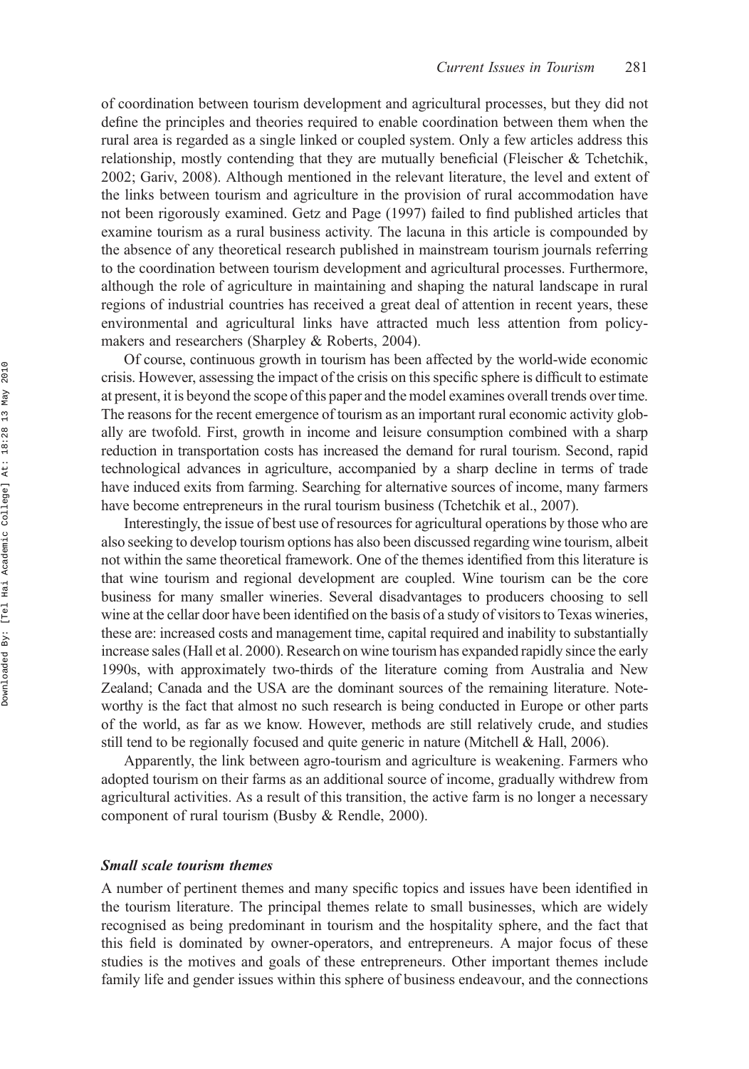of coordination between tourism development and agricultural processes, but they did not define the principles and theories required to enable coordination between them when the rural area is regarded as a single linked or coupled system. Only a few articles address this relationship, mostly contending that they are mutually beneficial (Fleischer & Tchetchik, 2002; Gariv, 2008). Although mentioned in the relevant literature, the level and extent of the links between tourism and agriculture in the provision of rural accommodation have not been rigorously examined. Getz and Page (1997) failed to find published articles that examine tourism as a rural business activity. The lacuna in this article is compounded by the absence of any theoretical research published in mainstream tourism journals referring to the coordination between tourism development and agricultural processes. Furthermore, although the role of agriculture in maintaining and shaping the natural landscape in rural regions of industrial countries has received a great deal of attention in recent years, these environmental and agricultural links have attracted much less attention from policymakers and researchers (Sharpley & Roberts, 2004).

Of course, continuous growth in tourism has been affected by the world-wide economic crisis. However, assessing the impact of the crisis on this specific sphere is difficult to estimate at present, it is beyond the scope of this paper and the model examines overall trends over time. The reasons for the recent emergence of tourism as an important rural economic activity globally are twofold. First, growth in income and leisure consumption combined with a sharp reduction in transportation costs has increased the demand for rural tourism. Second, rapid technological advances in agriculture, accompanied by a sharp decline in terms of trade have induced exits from farming. Searching for alternative sources of income, many farmers have become entrepreneurs in the rural tourism business (Tchetchik et al., 2007).

Interestingly, the issue of best use of resources for agricultural operations by those who are also seeking to develop tourism options has also been discussed regarding wine tourism, albeit not within the same theoretical framework. One of the themes identified from this literature is that wine tourism and regional development are coupled. Wine tourism can be the core business for many smaller wineries. Several disadvantages to producers choosing to sell wine at the cellar door have been identified on the basis of a study of visitors to Texas wineries, these are: increased costs and management time, capital required and inability to substantially increase sales (Hall et al. 2000). Research on wine tourism has expanded rapidly since the early 1990s, with approximately two-thirds of the literature coming from Australia and New Zealand; Canada and the USA are the dominant sources of the remaining literature. Noteworthy is the fact that almost no such research is being conducted in Europe or other parts of the world, as far as we know. However, methods are still relatively crude, and studies still tend to be regionally focused and quite generic in nature (Mitchell & Hall, 2006).

Apparently, the link between agro-tourism and agriculture is weakening. Farmers who adopted tourism on their farms as an additional source of income, gradually withdrew from agricultural activities. As a result of this transition, the active farm is no longer a necessary component of rural tourism (Busby & Rendle, 2000).

## Small scale tourism themes

A number of pertinent themes and many specific topics and issues have been identified in the tourism literature. The principal themes relate to small businesses, which are widely recognised as being predominant in tourism and the hospitality sphere, and the fact that this field is dominated by owner-operators, and entrepreneurs. A major focus of these studies is the motives and goals of these entrepreneurs. Other important themes include family life and gender issues within this sphere of business endeavour, and the connections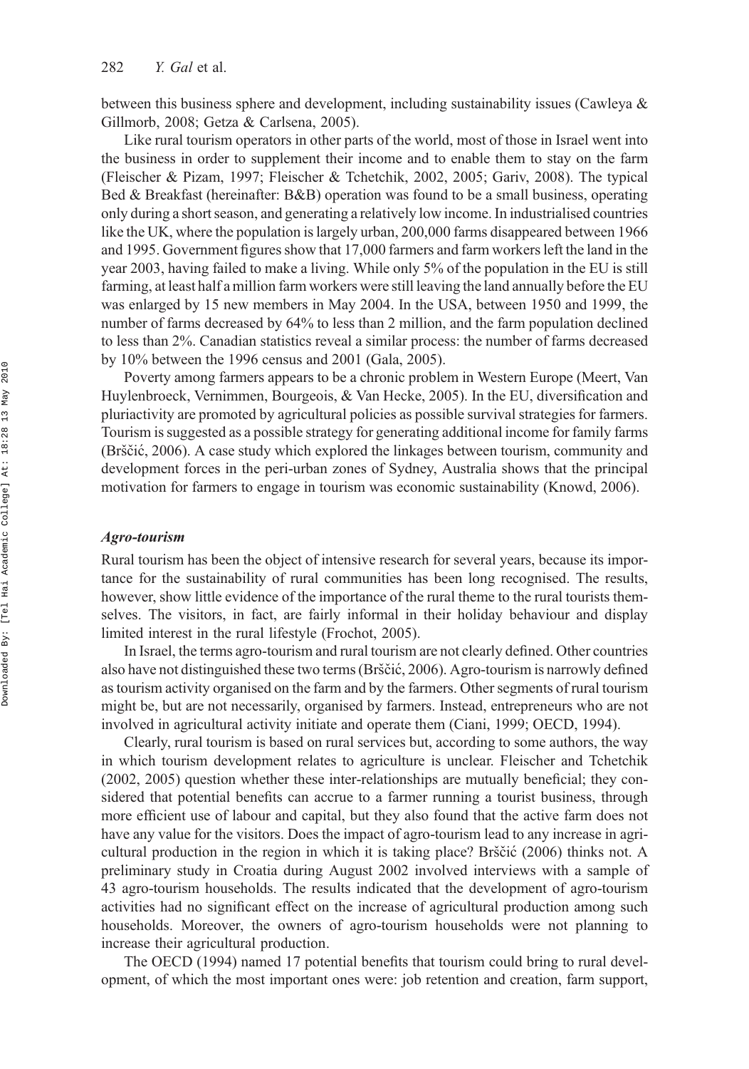between this business sphere and development, including sustainability issues (Cawleya & Gillmorb, 2008; Getza & Carlsena, 2005).

Like rural tourism operators in other parts of the world, most of those in Israel went into the business in order to supplement their income and to enable them to stay on the farm (Fleischer & Pizam, 1997; Fleischer & Tchetchik, 2002, 2005; Gariv, 2008). The typical Bed & Breakfast (hereinafter: B&B) operation was found to be a small business, operating only during a short season, and generating a relatively low income. In industrialised countries like the UK, where the population is largely urban, 200,000 farms disappeared between 1966 and 1995. Government figures show that 17,000 farmers and farm workers left the land in the year 2003, having failed to make a living. While only 5% of the population in the EU is still farming, at least half a million farm workers were still leaving the land annually before the EU was enlarged by 15 new members in May 2004. In the USA, between 1950 and 1999, the number of farms decreased by 64% to less than 2 million, and the farm population declined to less than 2%. Canadian statistics reveal a similar process: the number of farms decreased by 10% between the 1996 census and 2001 (Gala, 2005).

Poverty among farmers appears to be a chronic problem in Western Europe (Meert, Van Huylenbroeck, Vernimmen, Bourgeois, & Van Hecke, 2005). In the EU, diversification and pluriactivity are promoted by agricultural policies as possible survival strategies for farmers. Tourism is suggested as a possible strategy for generating additional income for family farms (Brščić, 2006). A case study which explored the linkages between tourism, community and development forces in the peri-urban zones of Sydney, Australia shows that the principal motivation for farmers to engage in tourism was economic sustainability (Knowd, 2006).

# Agro-tourism

Rural tourism has been the object of intensive research for several years, because its importance for the sustainability of rural communities has been long recognised. The results, however, show little evidence of the importance of the rural theme to the rural tourists themselves. The visitors, in fact, are fairly informal in their holiday behaviour and display limited interest in the rural lifestyle (Frochot, 2005).

In Israel, the terms agro-tourism and rural tourism are not clearly defined. Other countries also have not distinguished these two terms (Brščić, 2006). Agro-tourism is narrowly defined as tourism activity organised on the farm and by the farmers. Other segments of rural tourism might be, but are not necessarily, organised by farmers. Instead, entrepreneurs who are not involved in agricultural activity initiate and operate them (Ciani, 1999; OECD, 1994).

Clearly, rural tourism is based on rural services but, according to some authors, the way in which tourism development relates to agriculture is unclear. Fleischer and Tchetchik (2002, 2005) question whether these inter-relationships are mutually beneficial; they considered that potential benefits can accrue to a farmer running a tourist business, through more efficient use of labour and capital, but they also found that the active farm does not have any value for the visitors. Does the impact of agro-tourism lead to any increase in agricultural production in the region in which it is taking place? Brščić  $(2006)$  thinks not. A preliminary study in Croatia during August 2002 involved interviews with a sample of 43 agro-tourism households. The results indicated that the development of agro-tourism activities had no significant effect on the increase of agricultural production among such households. Moreover, the owners of agro-tourism households were not planning to increase their agricultural production.

The OECD (1994) named 17 potential benefits that tourism could bring to rural development, of which the most important ones were: job retention and creation, farm support,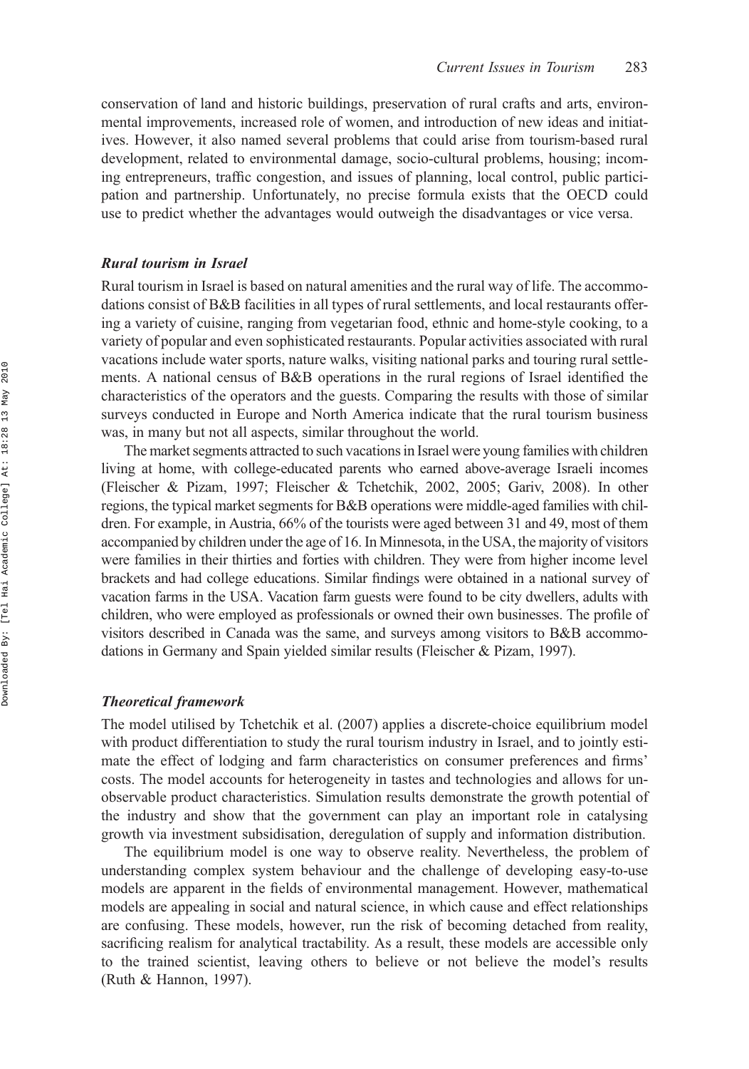conservation of land and historic buildings, preservation of rural crafts and arts, environmental improvements, increased role of women, and introduction of new ideas and initiatives. However, it also named several problems that could arise from tourism-based rural development, related to environmental damage, socio-cultural problems, housing; incoming entrepreneurs, traffic congestion, and issues of planning, local control, public participation and partnership. Unfortunately, no precise formula exists that the OECD could use to predict whether the advantages would outweigh the disadvantages or vice versa.

### Rural tourism in Israel

Rural tourism in Israel is based on natural amenities and the rural way of life. The accommodations consist of B&B facilities in all types of rural settlements, and local restaurants offering a variety of cuisine, ranging from vegetarian food, ethnic and home-style cooking, to a variety of popular and even sophisticated restaurants. Popular activities associated with rural vacations include water sports, nature walks, visiting national parks and touring rural settlements. A national census of B&B operations in the rural regions of Israel identified the characteristics of the operators and the guests. Comparing the results with those of similar surveys conducted in Europe and North America indicate that the rural tourism business was, in many but not all aspects, similar throughout the world.

The market segments attracted to such vacations in Israel were young families with children living at home, with college-educated parents who earned above-average Israeli incomes (Fleischer & Pizam, 1997; Fleischer & Tchetchik, 2002, 2005; Gariv, 2008). In other regions, the typical market segments for B&B operations were middle-aged families with children. For example, in Austria, 66% of the tourists were aged between 31 and 49, most of them accompanied by children under the age of 16. In Minnesota, in the USA, the majority of visitors were families in their thirties and forties with children. They were from higher income level brackets and had college educations. Similar findings were obtained in a national survey of vacation farms in the USA. Vacation farm guests were found to be city dwellers, adults with children, who were employed as professionals or owned their own businesses. The profile of visitors described in Canada was the same, and surveys among visitors to B&B accommodations in Germany and Spain yielded similar results (Fleischer & Pizam, 1997).

#### Theoretical framework

The model utilised by Tchetchik et al. (2007) applies a discrete-choice equilibrium model with product differentiation to study the rural tourism industry in Israel, and to jointly estimate the effect of lodging and farm characteristics on consumer preferences and firms' costs. The model accounts for heterogeneity in tastes and technologies and allows for unobservable product characteristics. Simulation results demonstrate the growth potential of the industry and show that the government can play an important role in catalysing growth via investment subsidisation, deregulation of supply and information distribution.

The equilibrium model is one way to observe reality. Nevertheless, the problem of understanding complex system behaviour and the challenge of developing easy-to-use models are apparent in the fields of environmental management. However, mathematical models are appealing in social and natural science, in which cause and effect relationships are confusing. These models, however, run the risk of becoming detached from reality, sacrificing realism for analytical tractability. As a result, these models are accessible only to the trained scientist, leaving others to believe or not believe the model's results (Ruth & Hannon, 1997).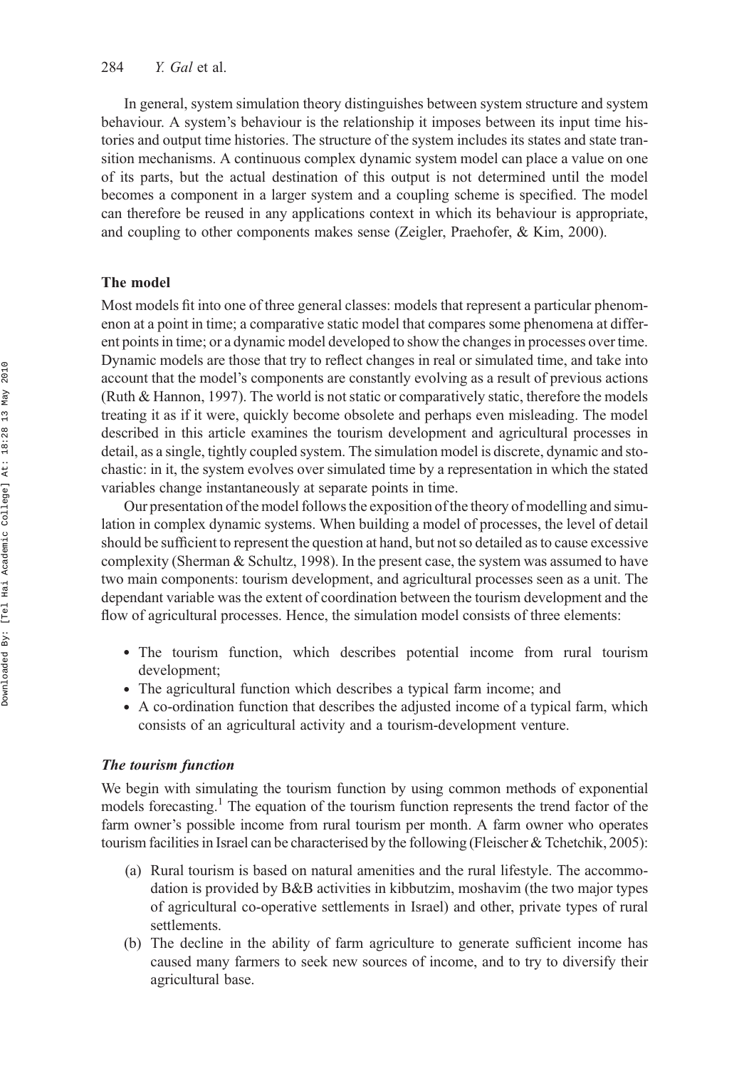In general, system simulation theory distinguishes between system structure and system behaviour. A system's behaviour is the relationship it imposes between its input time histories and output time histories. The structure of the system includes its states and state transition mechanisms. A continuous complex dynamic system model can place a value on one of its parts, but the actual destination of this output is not determined until the model becomes a component in a larger system and a coupling scheme is specified. The model can therefore be reused in any applications context in which its behaviour is appropriate, and coupling to other components makes sense (Zeigler, Praehofer, & Kim, 2000).

# The model

Most models fit into one of three general classes: models that represent a particular phenomenon at a point in time; a comparative static model that compares some phenomena at different points in time; or a dynamic model developed to show the changes in processes over time. Dynamic models are those that try to reflect changes in real or simulated time, and take into account that the model's components are constantly evolving as a result of previous actions (Ruth & Hannon, 1997). The world is not static or comparatively static, therefore the models treating it as if it were, quickly become obsolete and perhaps even misleading. The model described in this article examines the tourism development and agricultural processes in detail, as a single, tightly coupled system. The simulation model is discrete, dynamic and stochastic: in it, the system evolves over simulated time by a representation in which the stated variables change instantaneously at separate points in time.

Our presentation of the model follows the exposition of the theory of modelling and simulation in complex dynamic systems. When building a model of processes, the level of detail should be sufficient to represent the question at hand, but not so detailed as to cause excessive complexity (Sherman & Schultz, 1998). In the present case, the system was assumed to have two main components: tourism development, and agricultural processes seen as a unit. The dependant variable was the extent of coordination between the tourism development and the flow of agricultural processes. Hence, the simulation model consists of three elements:

- . The tourism function, which describes potential income from rural tourism development;
- . The agricultural function which describes a typical farm income; and
- . A co-ordination function that describes the adjusted income of a typical farm, which consists of an agricultural activity and a tourism-development venture.

## The tourism function

We begin with simulating the tourism function by using common methods of exponential models forecasting.<sup>1</sup> The equation of the tourism function represents the trend factor of the farm owner's possible income from rural tourism per month. A farm owner who operates tourism facilities in Israel can be characterised by the following (Fleischer & Tchetchik, 2005):

- (a) Rural tourism is based on natural amenities and the rural lifestyle. The accommodation is provided by B&B activities in kibbutzim, moshavim (the two major types of agricultural co-operative settlements in Israel) and other, private types of rural settlements.
- (b) The decline in the ability of farm agriculture to generate sufficient income has caused many farmers to seek new sources of income, and to try to diversify their agricultural base.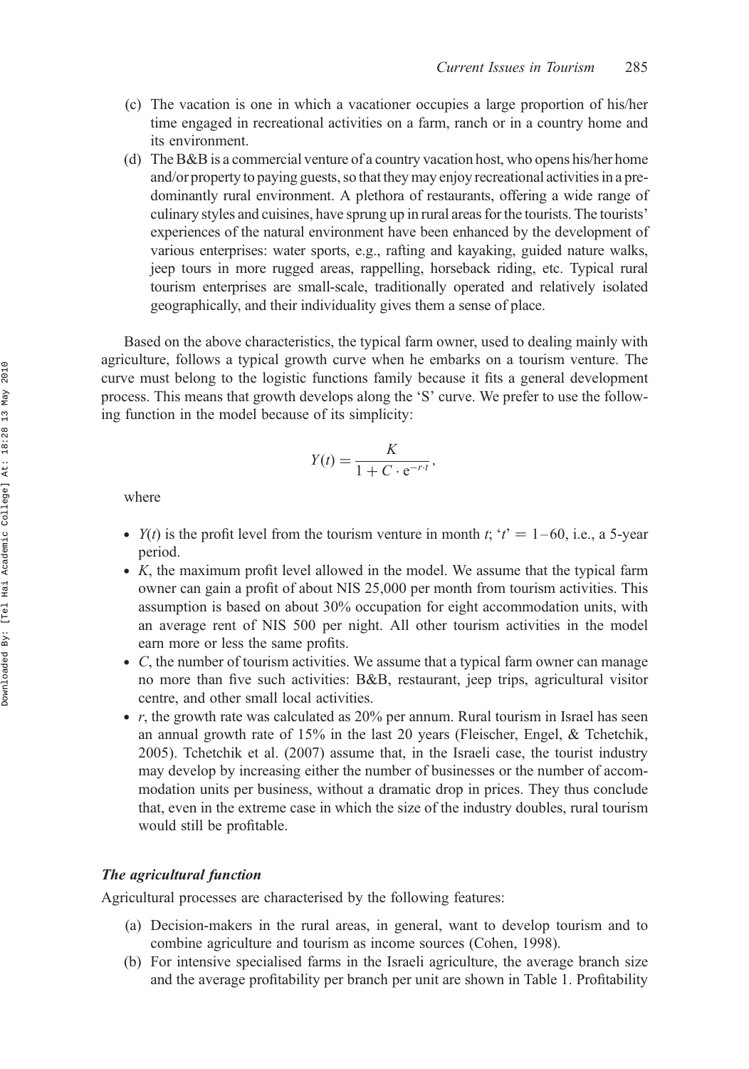- (c) The vacation is one in which a vacationer occupies a large proportion of his/her time engaged in recreational activities on a farm, ranch or in a country home and its environment.
- (d) The B&B is a commercial venture of a country vacation host, who opens his/her home and/or property to paying guests, so that they may enjoy recreational activities in a predominantly rural environment. A plethora of restaurants, offering a wide range of culinary styles and cuisines, have sprung up in rural areas for the tourists. The tourists' experiences of the natural environment have been enhanced by the development of various enterprises: water sports, e.g., rafting and kayaking, guided nature walks, jeep tours in more rugged areas, rappelling, horseback riding, etc. Typical rural tourism enterprises are small-scale, traditionally operated and relatively isolated geographically, and their individuality gives them a sense of place.

Based on the above characteristics, the typical farm owner, used to dealing mainly with agriculture, follows a typical growth curve when he embarks on a tourism venture. The curve must belong to the logistic functions family because it fits a general development process. This means that growth develops along the 'S' curve. We prefer to use the following function in the model because of its simplicity:

$$
Y(t) = \frac{K}{1 + C \cdot e^{-r \cdot t}},
$$

where

- $Y(t)$  is the profit level from the tourism venture in month t; 't' = 1–60, i.e., a 5-year period.
- . K, the maximum profit level allowed in the model. We assume that the typical farm owner can gain a profit of about NIS 25,000 per month from tourism activities. This assumption is based on about 30% occupation for eight accommodation units, with an average rent of NIS 500 per night. All other tourism activities in the model earn more or less the same profits.
- . C, the number of tourism activities. We assume that a typical farm owner can manage no more than five such activities: B&B, restaurant, jeep trips, agricultural visitor centre, and other small local activities.
- $\bullet$  r, the growth rate was calculated as 20% per annum. Rural tourism in Israel has seen an annual growth rate of 15% in the last 20 years (Fleischer, Engel, & Tchetchik, 2005). Tchetchik et al. (2007) assume that, in the Israeli case, the tourist industry may develop by increasing either the number of businesses or the number of accommodation units per business, without a dramatic drop in prices. They thus conclude that, even in the extreme case in which the size of the industry doubles, rural tourism would still be profitable.

# The agricultural function

Agricultural processes are characterised by the following features:

- (a) Decision-makers in the rural areas, in general, want to develop tourism and to combine agriculture and tourism as income sources (Cohen, 1998).
- (b) For intensive specialised farms in the Israeli agriculture, the average branch size and the average profitability per branch per unit are shown in Table 1. Profitability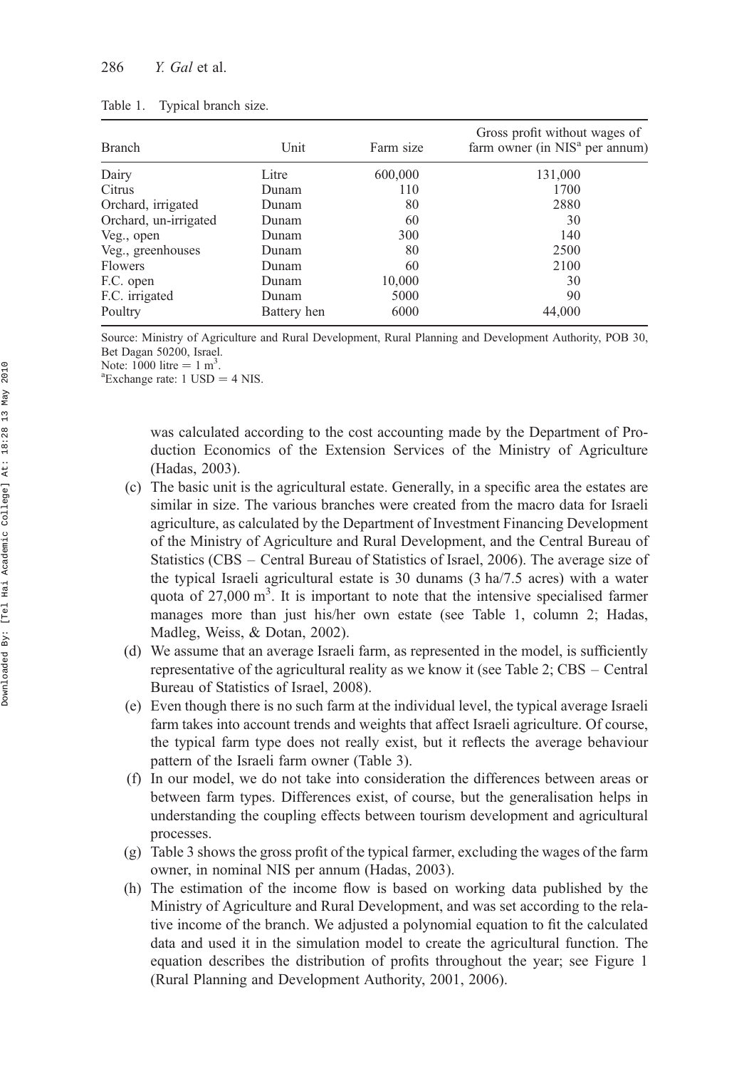| Branch                | Unit        | Farm size | Gross profit without wages of<br>farm owner (in NIS <sup>a</sup> per annum) |
|-----------------------|-------------|-----------|-----------------------------------------------------------------------------|
| Dairy                 | Litre       | 600,000   | 131,000                                                                     |
| Citrus                | Dunam       | 110       | 1700                                                                        |
| Orchard, irrigated    | Dunam       | 80        | 2880                                                                        |
| Orchard, un-irrigated | Dunam       | 60        | 30                                                                          |
| Veg., open            | Dunam       | 300       | 140                                                                         |
| Veg., greenhouses     | Dunam       | 80        | 2500                                                                        |
| Flowers               | Dunam       | 60        | 2100                                                                        |
| F.C. open             | Dunam       | 10,000    | 30                                                                          |
| F.C. irrigated        | Dunam       | 5000      | 90                                                                          |
| Poultry               | Battery hen | 6000      | 44,000                                                                      |

| Table 1. | Typical branch size. |  |
|----------|----------------------|--|
|          |                      |  |

Source: Ministry of Agriculture and Rural Development, Rural Planning and Development Authority, POB 30, Bet Dagan 50200, Israel.

Note:  $1000$  litre =  $1 \text{ m}^3$ .

<sup>a</sup>Exchange rate:  $1$  USD =  $4$  NIS.

was calculated according to the cost accounting made by the Department of Production Economics of the Extension Services of the Ministry of Agriculture (Hadas, 2003).

- (c) The basic unit is the agricultural estate. Generally, in a specific area the estates are similar in size. The various branches were created from the macro data for Israeli agriculture, as calculated by the Department of Investment Financing Development of the Ministry of Agriculture and Rural Development, and the Central Bureau of Statistics (CBS – Central Bureau of Statistics of Israel, 2006). The average size of the typical Israeli agricultural estate is 30 dunams (3 ha/7.5 acres) with a water quota of 27,000 m<sup>3</sup>. It is important to note that the intensive specialised farmer manages more than just his/her own estate (see Table 1, column 2; Hadas, Madleg, Weiss, & Dotan, 2002).
- (d) We assume that an average Israeli farm, as represented in the model, is sufficiently representative of the agricultural reality as we know it (see Table 2; CBS – Central Bureau of Statistics of Israel, 2008).
- (e) Even though there is no such farm at the individual level, the typical average Israeli farm takes into account trends and weights that affect Israeli agriculture. Of course, the typical farm type does not really exist, but it reflects the average behaviour pattern of the Israeli farm owner (Table 3).
- (f) In our model, we do not take into consideration the differences between areas or between farm types. Differences exist, of course, but the generalisation helps in understanding the coupling effects between tourism development and agricultural processes.
- (g) Table 3 shows the gross profit of the typical farmer, excluding the wages of the farm owner, in nominal NIS per annum (Hadas, 2003).
- (h) The estimation of the income flow is based on working data published by the Ministry of Agriculture and Rural Development, and was set according to the relative income of the branch. We adjusted a polynomial equation to fit the calculated data and used it in the simulation model to create the agricultural function. The equation describes the distribution of profits throughout the year; see Figure 1 (Rural Planning and Development Authority, 2001, 2006).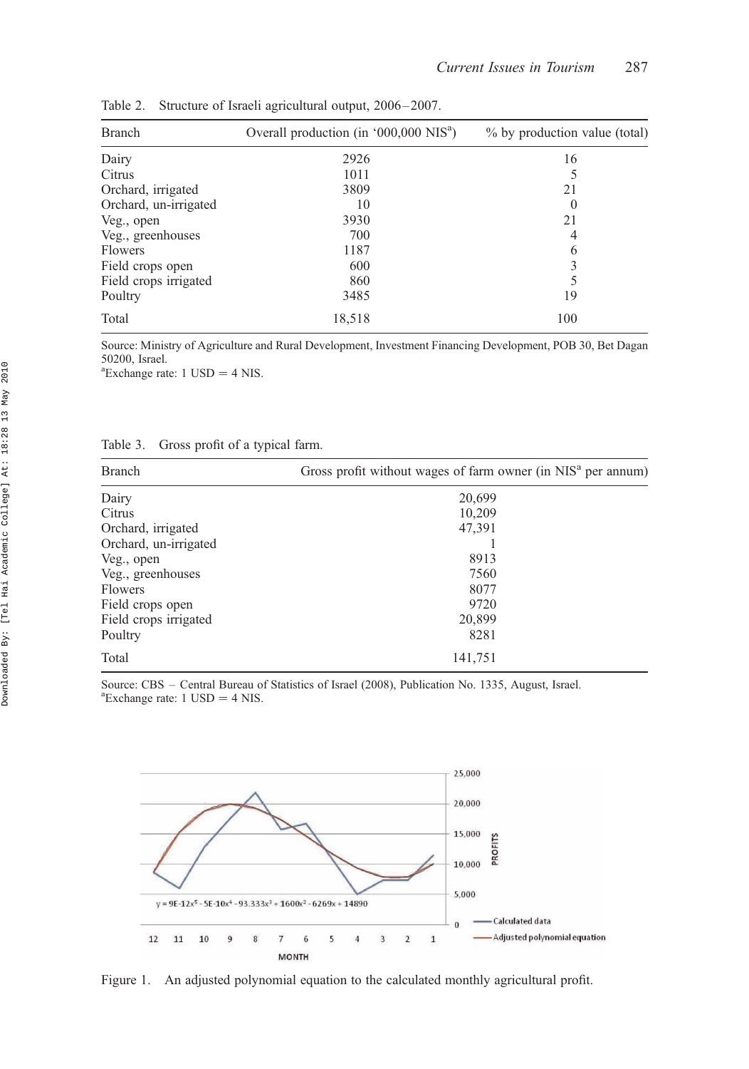| <b>Branch</b>         | Overall production (in '000,000 NIS <sup>a</sup> ) | % by production value (total) |
|-----------------------|----------------------------------------------------|-------------------------------|
| Dairy                 | 2926                                               | 16                            |
| Citrus                | 1011                                               |                               |
| Orchard, irrigated    | 3809                                               | 21                            |
| Orchard, un-irrigated | 10                                                 | $\left( \right)$              |
| Veg., open            | 3930                                               | 21                            |
| Veg., greenhouses     | 700                                                | 4                             |
| Flowers               | 1187                                               | 6                             |
| Field crops open      | 600                                                | 3                             |
| Field crops irrigated | 860                                                |                               |
| Poultry               | 3485                                               | 19                            |
| Total                 | 18,518                                             | 100                           |

Table 2. Structure of Israeli agricultural output, 2006–2007.

Source: Ministry of Agriculture and Rural Development, Investment Financing Development, POB 30, Bet Dagan 50200, Israel.

 ${}^{\text{a}}$ Exchange rate: 1 USD = 4 NIS.

| Table 3. |  |  | Gross profit of a typical farm. |  |
|----------|--|--|---------------------------------|--|
|          |  |  |                                 |  |

| Branch                | Gross profit without wages of farm owner (in NIS <sup>a</sup> per annum) |  |  |
|-----------------------|--------------------------------------------------------------------------|--|--|
| Dairy                 | 20,699                                                                   |  |  |
| Citrus                | 10,209                                                                   |  |  |
| Orchard, irrigated    | 47,391                                                                   |  |  |
| Orchard, un-irrigated |                                                                          |  |  |
| Veg., open            | 8913                                                                     |  |  |
| Veg., greenhouses     | 7560                                                                     |  |  |
| Flowers               | 8077                                                                     |  |  |
| Field crops open      | 9720                                                                     |  |  |
| Field crops irrigated | 20,899                                                                   |  |  |
| Poultry               | 8281                                                                     |  |  |
| Total                 | 141,751                                                                  |  |  |

Source: CBS – Central Bureau of Statistics of Israel (2008), Publication No. 1335, August, Israel.  ${}^{\text{a}}$ Exchange rate: 1 USD = 4 NIS.



Figure 1. An adjusted polynomial equation to the calculated monthly agricultural profit.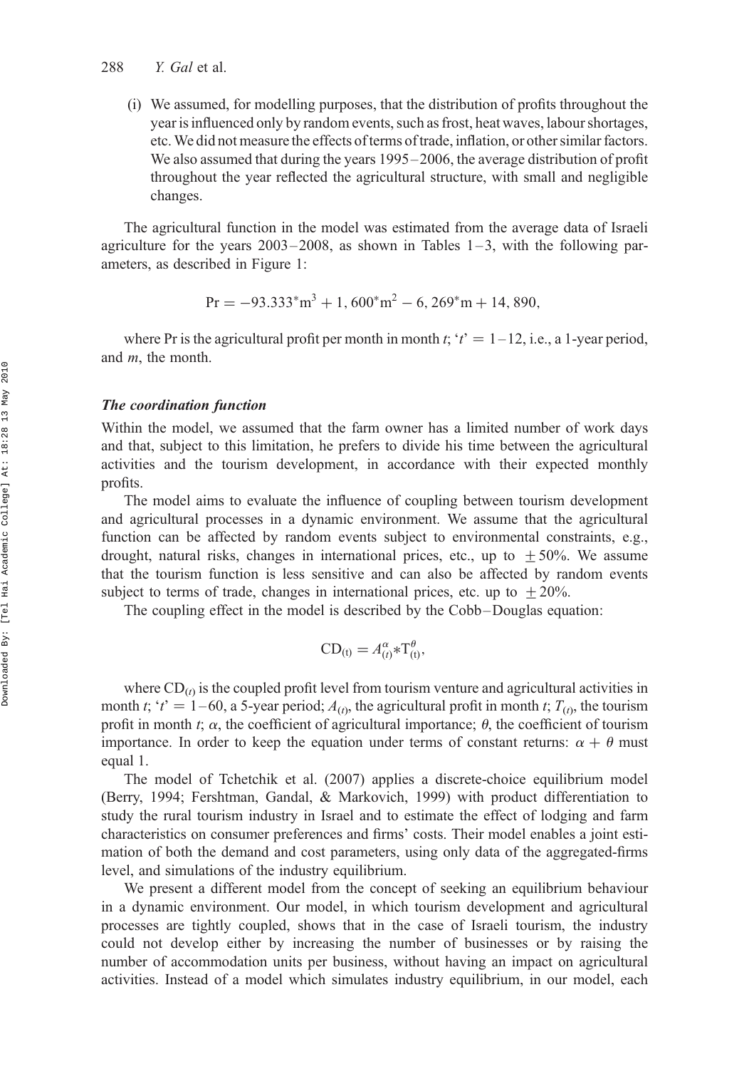(i) We assumed, for modelling purposes, that the distribution of profits throughout the year is influenced only by random events, such as frost, heat waves, labour shortages, etc.We did not measure the effects of terms of trade, inflation, or other similar factors. We also assumed that during the years 1995–2006, the average distribution of profit throughout the year reflected the agricultural structure, with small and negligible changes.

The agricultural function in the model was estimated from the average data of Israeli agriculture for the years  $2003-2008$ , as shown in Tables  $1-3$ , with the following parameters, as described in Figure 1:

$$
Pr = -93.333^{*}m^{3} + 1,600^{*}m^{2} - 6,269^{*}m + 14,890,
$$

where Pr is the agricultural profit per month in month t; 't'  $= 1-12$ , i.e., a 1-year period, and m, the month.

# The coordination function

Within the model, we assumed that the farm owner has a limited number of work days and that, subject to this limitation, he prefers to divide his time between the agricultural activities and the tourism development, in accordance with their expected monthly profits.

The model aims to evaluate the influence of coupling between tourism development and agricultural processes in a dynamic environment. We assume that the agricultural function can be affected by random events subject to environmental constraints, e.g., drought, natural risks, changes in international prices, etc., up to  $\pm 50\%$ . We assume that the tourism function is less sensitive and can also be affected by random events subject to terms of trade, changes in international prices, etc. up to  $\pm 20\%$ .

The coupling effect in the model is described by the Cobb –Douglas equation:

$$
CD_{(t)} = A_{(t)}^{\alpha} * T_{(t)}^{\theta},
$$

where  $CD_{(t)}$  is the coupled profit level from tourism venture and agricultural activities in month t; 't' = 1–60, a 5-year period;  $A_{(t)}$ , the agricultural profit in month t;  $T_{(t)}$ , the tourism profit in month t;  $\alpha$ , the coefficient of agricultural importance;  $\theta$ , the coefficient of tourism importance. In order to keep the equation under terms of constant returns:  $\alpha + \theta$  must equal 1.

The model of Tchetchik et al. (2007) applies a discrete-choice equilibrium model (Berry, 1994; Fershtman, Gandal, & Markovich, 1999) with product differentiation to study the rural tourism industry in Israel and to estimate the effect of lodging and farm characteristics on consumer preferences and firms' costs. Their model enables a joint estimation of both the demand and cost parameters, using only data of the aggregated-firms level, and simulations of the industry equilibrium.

We present a different model from the concept of seeking an equilibrium behaviour in a dynamic environment. Our model, in which tourism development and agricultural processes are tightly coupled, shows that in the case of Israeli tourism, the industry could not develop either by increasing the number of businesses or by raising the number of accommodation units per business, without having an impact on agricultural activities. Instead of a model which simulates industry equilibrium, in our model, each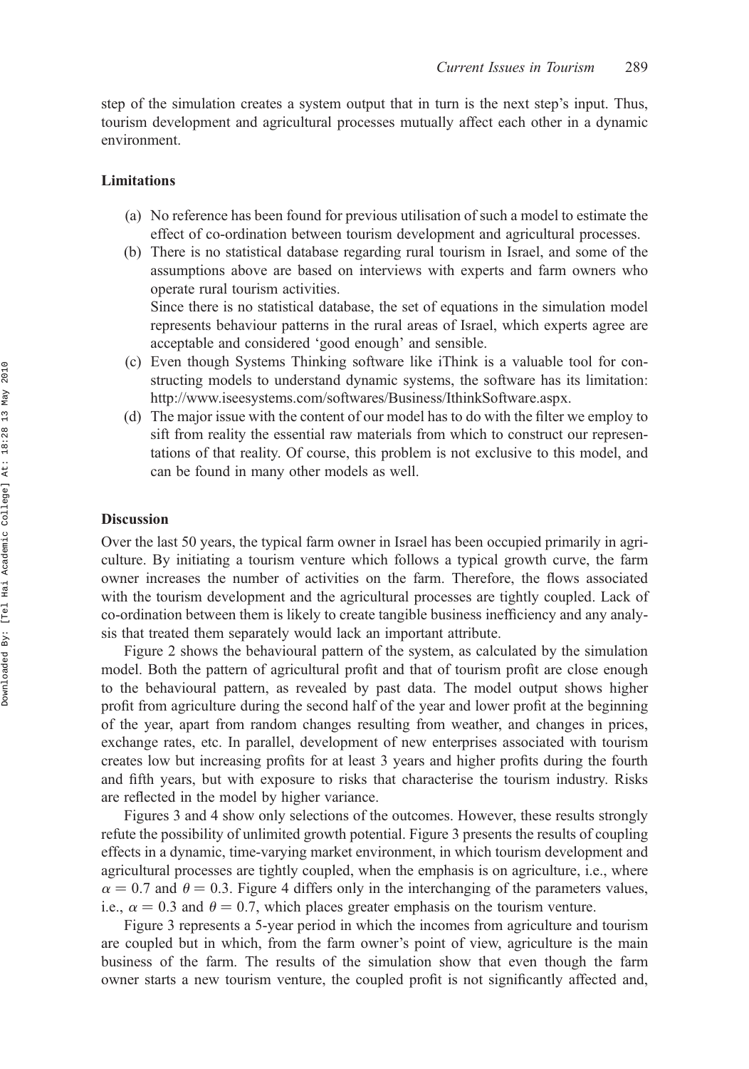step of the simulation creates a system output that in turn is the next step's input. Thus, tourism development and agricultural processes mutually affect each other in a dynamic environment.

## Limitations

- (a) No reference has been found for previous utilisation of such a model to estimate the effect of co-ordination between tourism development and agricultural processes.
- (b) There is no statistical database regarding rural tourism in Israel, and some of the assumptions above are based on interviews with experts and farm owners who operate rural tourism activities.

Since there is no statistical database, the set of equations in the simulation model represents behaviour patterns in the rural areas of Israel, which experts agree are acceptable and considered 'good enough' and sensible.

- (c) Even though Systems Thinking software like iThink is a valuable tool for constructing models to understand dynamic systems, the software has its limitation: <http://www.iseesystems.com/softwares/Business/IthinkSoftware.aspx.>
- (d) The major issue with the content of our model has to do with the filter we employ to sift from reality the essential raw materials from which to construct our representations of that reality. Of course, this problem is not exclusive to this model, and can be found in many other models as well.

# Discussion

Over the last 50 years, the typical farm owner in Israel has been occupied primarily in agriculture. By initiating a tourism venture which follows a typical growth curve, the farm owner increases the number of activities on the farm. Therefore, the flows associated with the tourism development and the agricultural processes are tightly coupled. Lack of co-ordination between them is likely to create tangible business inefficiency and any analysis that treated them separately would lack an important attribute.

Figure 2 shows the behavioural pattern of the system, as calculated by the simulation model. Both the pattern of agricultural profit and that of tourism profit are close enough to the behavioural pattern, as revealed by past data. The model output shows higher profit from agriculture during the second half of the year and lower profit at the beginning of the year, apart from random changes resulting from weather, and changes in prices, exchange rates, etc. In parallel, development of new enterprises associated with tourism creates low but increasing profits for at least 3 years and higher profits during the fourth and fifth years, but with exposure to risks that characterise the tourism industry. Risks are reflected in the model by higher variance.

Figures 3 and 4 show only selections of the outcomes. However, these results strongly refute the possibility of unlimited growth potential. Figure 3 presents the results of coupling effects in a dynamic, time-varying market environment, in which tourism development and agricultural processes are tightly coupled, when the emphasis is on agriculture, i.e., where  $\alpha = 0.7$  and  $\theta = 0.3$ . Figure 4 differs only in the interchanging of the parameters values, i.e.,  $\alpha = 0.3$  and  $\theta = 0.7$ , which places greater emphasis on the tourism venture.

Figure 3 represents a 5-year period in which the incomes from agriculture and tourism are coupled but in which, from the farm owner's point of view, agriculture is the main business of the farm. The results of the simulation show that even though the farm owner starts a new tourism venture, the coupled profit is not significantly affected and,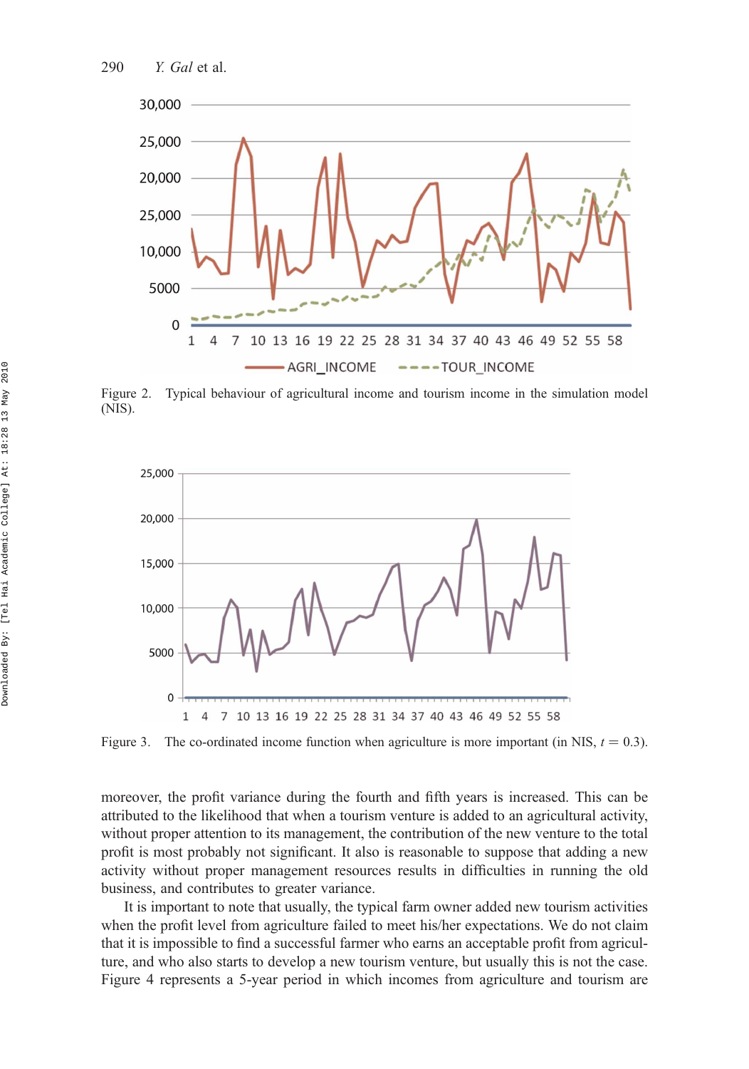

Figure 2. Typical behaviour of agricultural income and tourism income in the simulation model (NIS).



Figure 3. The co-ordinated income function when agriculture is more important (in NIS,  $t = 0.3$ ).

moreover, the profit variance during the fourth and fifth years is increased. This can be attributed to the likelihood that when a tourism venture is added to an agricultural activity, without proper attention to its management, the contribution of the new venture to the total profit is most probably not significant. It also is reasonable to suppose that adding a new activity without proper management resources results in difficulties in running the old business, and contributes to greater variance.

It is important to note that usually, the typical farm owner added new tourism activities when the profit level from agriculture failed to meet his/her expectations. We do not claim that it is impossible to find a successful farmer who earns an acceptable profit from agriculture, and who also starts to develop a new tourism venture, but usually this is not the case. Figure 4 represents a 5-year period in which incomes from agriculture and tourism are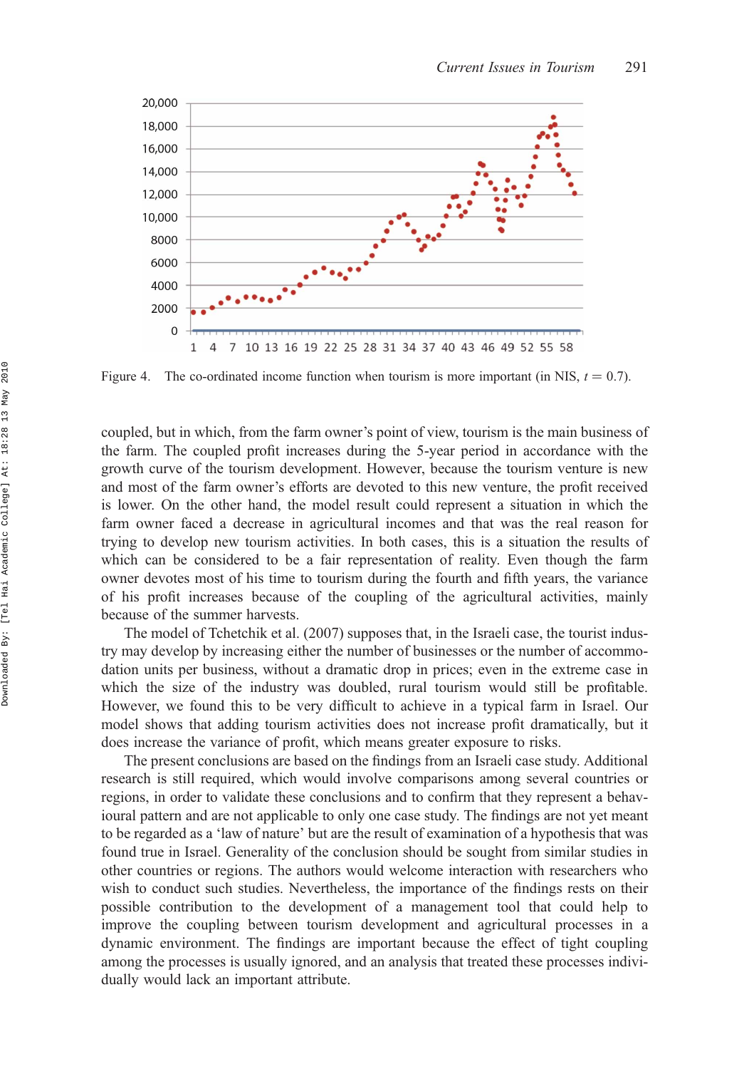

Figure 4. The co-ordinated income function when tourism is more important (in NIS,  $t = 0.7$ ).

coupled, but in which, from the farm owner's point of view, tourism is the main business of the farm. The coupled profit increases during the 5-year period in accordance with the growth curve of the tourism development. However, because the tourism venture is new and most of the farm owner's efforts are devoted to this new venture, the profit received is lower. On the other hand, the model result could represent a situation in which the farm owner faced a decrease in agricultural incomes and that was the real reason for trying to develop new tourism activities. In both cases, this is a situation the results of which can be considered to be a fair representation of reality. Even though the farm owner devotes most of his time to tourism during the fourth and fifth years, the variance of his profit increases because of the coupling of the agricultural activities, mainly because of the summer harvests.

The model of Tchetchik et al. (2007) supposes that, in the Israeli case, the tourist industry may develop by increasing either the number of businesses or the number of accommodation units per business, without a dramatic drop in prices; even in the extreme case in which the size of the industry was doubled, rural tourism would still be profitable. However, we found this to be very difficult to achieve in a typical farm in Israel. Our model shows that adding tourism activities does not increase profit dramatically, but it does increase the variance of profit, which means greater exposure to risks.

The present conclusions are based on the findings from an Israeli case study. Additional research is still required, which would involve comparisons among several countries or regions, in order to validate these conclusions and to confirm that they represent a behavioural pattern and are not applicable to only one case study. The findings are not yet meant to be regarded as a 'law of nature' but are the result of examination of a hypothesis that was found true in Israel. Generality of the conclusion should be sought from similar studies in other countries or regions. The authors would welcome interaction with researchers who wish to conduct such studies. Nevertheless, the importance of the findings rests on their possible contribution to the development of a management tool that could help to improve the coupling between tourism development and agricultural processes in a dynamic environment. The findings are important because the effect of tight coupling among the processes is usually ignored, and an analysis that treated these processes individually would lack an important attribute.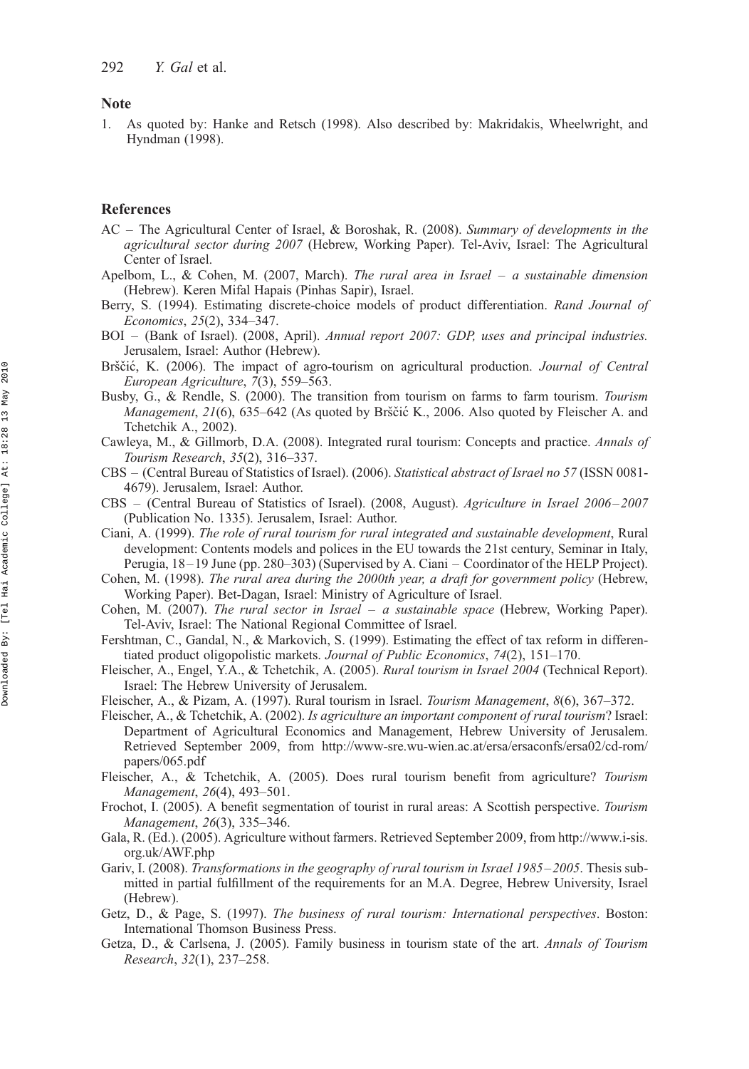#### Note

1. As quoted by: Hanke and Retsch (1998). Also described by: Makridakis, Wheelwright, and Hyndman (1998).

# References

- AC The Agricultural Center of Israel, & Boroshak, R. (2008). Summary of developments in the agricultural sector during 2007 (Hebrew, Working Paper). Tel-Aviv, Israel: The Agricultural Center of Israel.
- Apelbom, L., & Cohen, M. (2007, March). The rural area in Israel a sustainable dimension (Hebrew). Keren Mifal Hapais (Pinhas Sapir), Israel.
- Berry, S. (1994). Estimating discrete-choice models of product differentiation. Rand Journal of Economics, 25(2), 334–347.
- BOI (Bank of Israel). (2008, April). Annual report 2007: GDP, uses and principal industries. Jerusalem, Israel: Author (Hebrew).
- Brščić, K. (2006). The impact of agro-tourism on agricultural production. *Journal of Central* European Agriculture, 7(3), 559–563.
- Busby, G., & Rendle, S. (2000). The transition from tourism on farms to farm tourism. Tourism *Management, 21*(6), 635–642 (As quoted by Brščić K., 2006. Also quoted by Fleischer A. and Tchetchik A., 2002).
- Cawleya, M., & Gillmorb, D.A. (2008). Integrated rural tourism: Concepts and practice. Annals of Tourism Research, 35(2), 316–337.
- CBS (Central Bureau of Statistics of Israel). (2006). Statistical abstract of Israel no 57 (ISSN 0081- 4679). Jerusalem, Israel: Author.
- CBS (Central Bureau of Statistics of Israel). (2008, August). Agriculture in Israel 2006–2007 (Publication No. 1335). Jerusalem, Israel: Author.
- Ciani, A. (1999). The role of rural tourism for rural integrated and sustainable development, Rural development: Contents models and polices in the EU towards the 21st century, Seminar in Italy, Perugia, 18 –19 June (pp. 280–303) (Supervised by A. Ciani – Coordinator of the HELP Project).
- Cohen, M. (1998). The rural area during the 2000th year, a draft for government policy (Hebrew, Working Paper). Bet-Dagan, Israel: Ministry of Agriculture of Israel.
- Cohen, M. (2007). The rural sector in Israel a sustainable space (Hebrew, Working Paper). Tel-Aviv, Israel: The National Regional Committee of Israel.
- Fershtman, C., Gandal, N., & Markovich, S. (1999). Estimating the effect of tax reform in differentiated product oligopolistic markets. Journal of Public Economics, 74(2), 151–170.
- Fleischer, A., Engel, Y.A., & Tchetchik, A. (2005). Rural tourism in Israel 2004 (Technical Report). Israel: The Hebrew University of Jerusalem.
- Fleischer, A., & Pizam, A. (1997). Rural tourism in Israel. Tourism Management, 8(6), 367–372.
- Fleischer, A., & Tchetchik, A. (2002). Is agriculture an important component of rural tourism? Israel: Department of Agricultural Economics and Management, Hebrew University of Jerusalem. Retrieved September 2009, from [http://www-sre.wu-wien.ac.at/ersa/ersaconfs/ersa02/cd-rom/](http://www-sre.wu-wien.ac.at/ersa/ersaconfs/ersa02/cd-rom/papers/065.pdf) [papers/065.pdf](http://www-sre.wu-wien.ac.at/ersa/ersaconfs/ersa02/cd-rom/papers/065.pdf)
- Fleischer, A., & Tchetchik, A. (2005). Does rural tourism benefit from agriculture? Tourism Management, 26(4), 493–501.
- Frochot, I. (2005). A benefit segmentation of tourist in rural areas: A Scottish perspective. Tourism Management, 26(3), 335–346.
- Gala, R. (Ed.). (2005). Agriculture without farmers. Retrieved September 2009, from [http://www.i-sis.](http://www.i-sis.org.uk/AWF.php) [org.uk/AWF.php](http://www.i-sis.org.uk/AWF.php)
- Gariv, I. (2008). Transformations in the geography of rural tourism in Israel 1985–2005. Thesis submitted in partial fulfillment of the requirements for an M.A. Degree, Hebrew University, Israel (Hebrew).
- Getz, D., & Page, S. (1997). The business of rural tourism: International perspectives. Boston: International Thomson Business Press.
- Getza, D., & Carlsena, J. (2005). Family business in tourism state of the art. Annals of Tourism Research, 32(1), 237–258.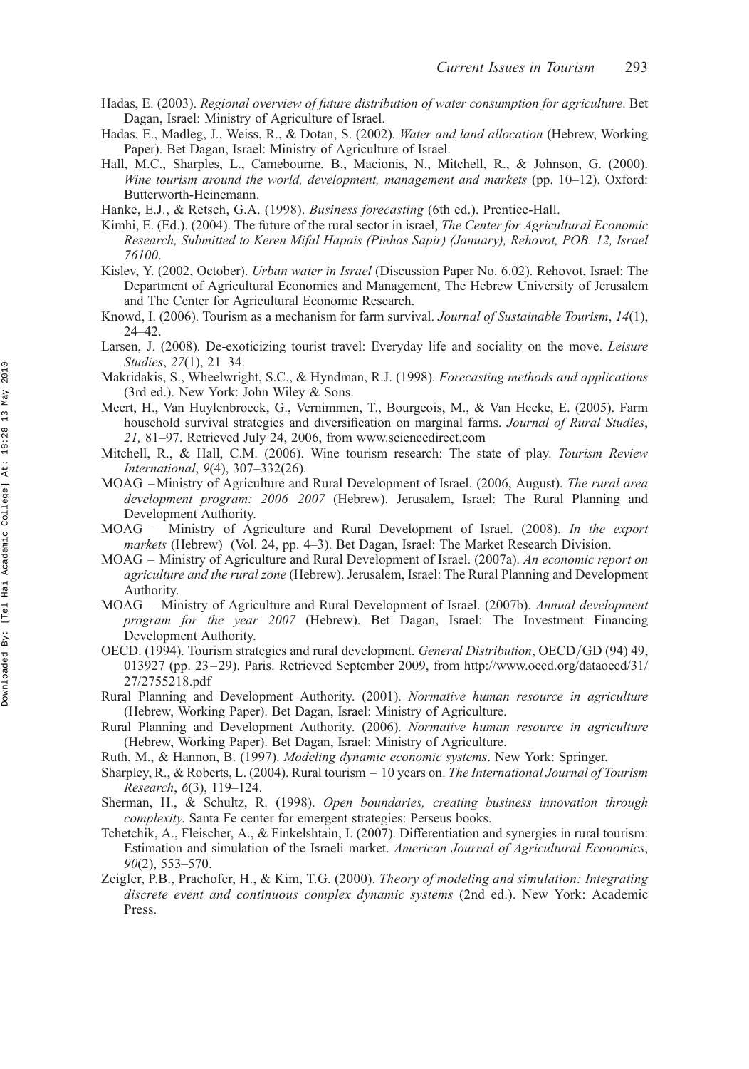- Hadas, E. (2003). Regional overview of future distribution of water consumption for agriculture. Bet Dagan, Israel: Ministry of Agriculture of Israel.
- Hadas, E., Madleg, J., Weiss, R., & Dotan, S. (2002). Water and land allocation (Hebrew, Working Paper). Bet Dagan, Israel: Ministry of Agriculture of Israel.
- Hall, M.C., Sharples, L., Camebourne, B., Macionis, N., Mitchell, R., & Johnson, G. (2000). Wine tourism around the world, development, management and markets (pp. 10–12). Oxford: Butterworth-Heinemann.
- Hanke, E.J., & Retsch, G.A. (1998). Business forecasting (6th ed.). Prentice-Hall.
- Kimhi, E. (Ed.). (2004). The future of the rural sector in israel, The Center for Agricultural Economic Research, Submitted to Keren Mifal Hapais (Pinhas Sapir) (January), Rehovot, POB. 12, Israel 76100.
- Kislev, Y. (2002, October). Urban water in Israel (Discussion Paper No. 6.02). Rehovot, Israel: The Department of Agricultural Economics and Management, The Hebrew University of Jerusalem and The Center for Agricultural Economic Research.
- Knowd, I. (2006). Tourism as a mechanism for farm survival. Journal of Sustainable Tourism, 14(1), 24–42.
- Larsen, J. (2008). De-exoticizing tourist travel: Everyday life and sociality on the move. Leisure Studies, 27(1), 21–34.
- Makridakis, S., Wheelwright, S.C., & Hyndman, R.J. (1998). Forecasting methods and applications (3rd ed.). New York: John Wiley & Sons.
- Meert, H., Van Huylenbroeck, G., Vernimmen, T., Bourgeois, M., & Van Hecke, E. (2005). Farm household survival strategies and diversification on marginal farms. *Journal of Rural Studies*, 21, 81–97. Retrieved July 24, 2006, from<www.sciencedirect.com>
- Mitchell, R., & Hall, C.M. (2006). Wine tourism research: The state of play. Tourism Review International, 9(4), 307–332(26).
- MOAG –Ministry of Agriculture and Rural Development of Israel. (2006, August). The rural area development program: 2006–2007 (Hebrew). Jerusalem, Israel: The Rural Planning and Development Authority.
- MOAG Ministry of Agriculture and Rural Development of Israel. (2008). In the export markets (Hebrew) (Vol. 24, pp. 4–3). Bet Dagan, Israel: The Market Research Division.
- MOAG Ministry of Agriculture and Rural Development of Israel. (2007a). An economic report on agriculture and the rural zone (Hebrew). Jerusalem, Israel: The Rural Planning and Development Authority.
- MOAG Ministry of Agriculture and Rural Development of Israel. (2007b). Annual development program for the year 2007 (Hebrew). Bet Dagan, Israel: The Investment Financing Development Authority.
- OECD. (1994). Tourism strategies and rural development. General Distribution, OECD*/*GD (94) 49, 013927 (pp. 23–29). Paris. Retrieved September 2009, from [http://www.oecd.org/dataoecd/31/](http://www.oecd.org/dataoecd/31/27/2755218.pdf) [27/2755218.pdf](http://www.oecd.org/dataoecd/31/27/2755218.pdf)
- Rural Planning and Development Authority. (2001). Normative human resource in agriculture (Hebrew, Working Paper). Bet Dagan, Israel: Ministry of Agriculture.
- Rural Planning and Development Authority. (2006). Normative human resource in agriculture (Hebrew, Working Paper). Bet Dagan, Israel: Ministry of Agriculture.
- Ruth, M., & Hannon, B. (1997). Modeling dynamic economic systems. New York: Springer.
- Sharpley, R., & Roberts, L. (2004). Rural tourism 10 years on. The International Journal of Tourism Research, 6(3), 119–124.
- Sherman, H., & Schultz, R. (1998). Open boundaries, creating business innovation through complexity. Santa Fe center for emergent strategies: Perseus books.
- Tchetchik, A., Fleischer, A., & Finkelshtain, I. (2007). Differentiation and synergies in rural tourism: Estimation and simulation of the Israeli market. American Journal of Agricultural Economics, 90(2), 553–570.
- Zeigler, P.B., Praehofer, H., & Kim, T.G. (2000). Theory of modeling and simulation: Integrating discrete event and continuous complex dynamic systems (2nd ed.). New York: Academic Press.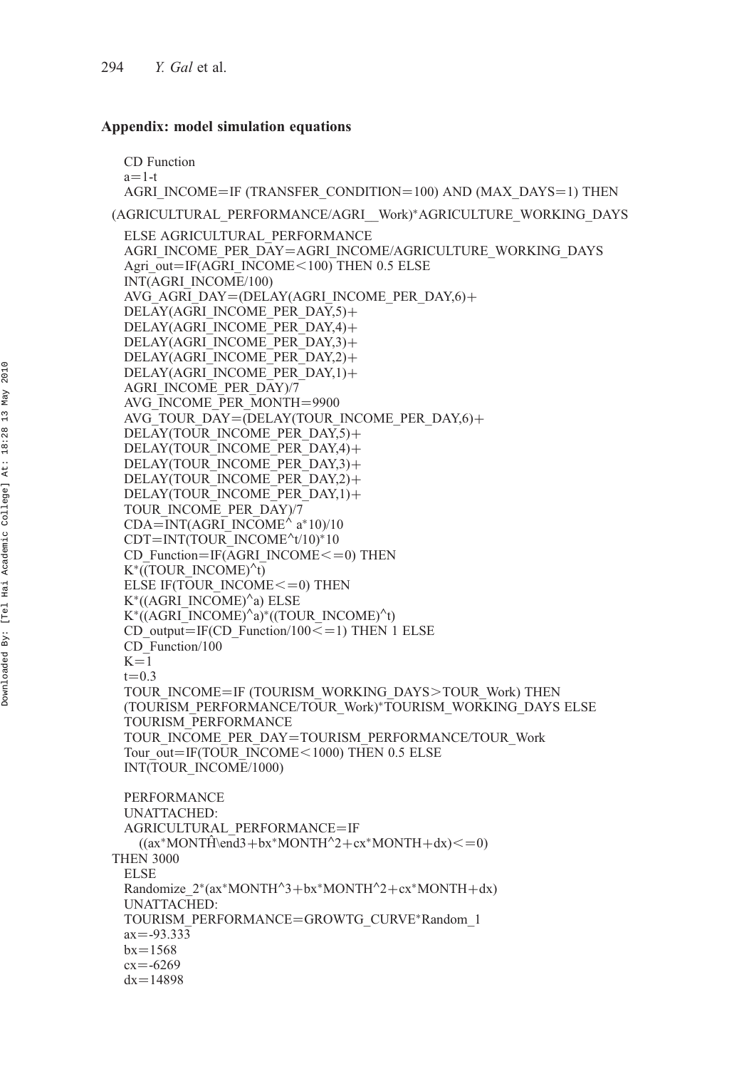# Appendix: model simulation equations

CD Function  $a=1-t$ AGRI\_INCOME=IF (TRANSFER\_CONDITION=100) AND (MAX\_DAYS=1) THEN (AGRICULTURAL\_PERFORMANCE/AGRI\_\_Work)\*AGRICULTURE\_WORKING\_DAYS ELSE AGRICULTURAL\_PERFORMANCE AGRI\_INCOME\_PER\_DAY=AGRI\_INCOME/AGRICULTURE\_WORKING\_DAYS Agri\_out=IF(AGRI\_INCOME $<$ 100) THEN 0.5 ELSE INT(AGRI\_INCOME/100) AVG AGRI DAY=(DELAY(AGRI\_INCOME\_PER\_DAY,6)+ DELAY(AGRI\_INCOME\_PER\_DAY,5)+ DELAY(AGRI\_INCOME\_PER\_DAY,4)+ DELAY(AGRI\_INCOME\_PER\_DAY,3)+ DELAY(AGRI\_INCOME\_PER\_DAY,2)+ DELAY(AGRI\_INCOME\_PER\_DAY,1)+ AGRI\_INCOME\_PER\_DAY)/7 AVG\_INCOME\_PER\_MONTH=9900 AVG TOUR DAY=(DELAY(TOUR INCOME PER DAY,6)+ DELAY(TOUR\_INCOME\_PER\_DAY,5)+ DELAY(TOUR\_INCOME\_PER\_DAY,4)+ DELAY(TOUR\_INCOME\_PER\_DAY,3)+ DELAY(TOUR\_INCOME\_PER\_DAY,2)+ DELAY(TOUR\_INCOME\_PER\_DAY,1)+ TOUR\_INCOME\_PER\_DAY)/7  $CDA=INT(AGRI\_INCOME^{\wedge} a*10)/10$  $CDT = INT(TOUR^\top INCOME^t/10)^*10$ CD Function=IF(AGRI\_INCOME $\leq$ =0) THEN  $K^*$ ((TOUR\_INCOME)<sup> $\wedge$ </sup>t) ELSE IF(TOUR\_INCOME $<=$ 0) THEN  $K^*($ (AGRI\_INCOME) $^{\wedge}$ a) ELSE  $K^*((AGRI\ INCOMP)^a)^*((TOUR\ INCOMP)^t)$ CD output=IF(CD Function/100 $\leq$ =1) THEN 1 ELSE CD\_Function/100  $K=1$  $t = 0.3$ TOUR\_INCOME=IF (TOURISM\_WORKING\_DAYS>TOUR\_Work) THEN (TOURISM\_PERFORMANCE/TOUR\_Work)\*TOURISM\_WORKING\_DAYS ELSE TOURISM\_PERFORMANCE TOUR\_INCOME\_PER\_DAY=TOURISM\_PERFORMANCE/TOUR\_Work Tour\_out=IF(TOUR\_INCOME <  $1000$ ) THEN 0.5 ELSE INT(TOUR\_INCOME/1000) PERFORMANCE UNATTACHED: AGRICULTURAL\_PERFORMANCE=IF  $((ax * MONTH\end{math}et a + bx * MONTH^2 + cx * MONTH + dx) \leq 0)$ THEN 3000 ELSE Randomize  $2*(ax*MONTH^3+bx*MONTH^2+cx*MONTH+dx)$ UNATTACHED: TOURISM\_PERFORMANCE=GROWTG\_CURVE\*Random\_1  $ax = -93.333$  $bx = 1568$  $cx = -6269$  $dx = 14898$